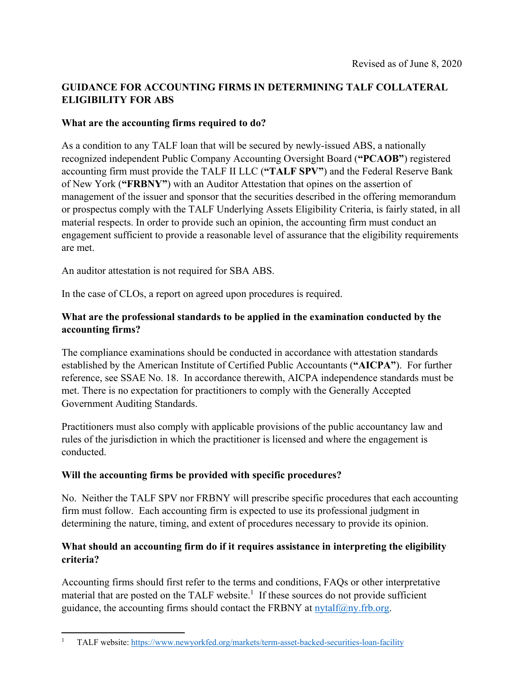# **GUIDANCE FOR ACCOUNTING FIRMS IN DETERMINING TALF COLLATERAL ELIGIBILITY FOR ABS**

#### **What are the accounting firms required to do?**

As a condition to any TALF loan that will be secured by newly-issued ABS, a nationally recognized independent Public Company Accounting Oversight Board (**"PCAOB"**) registered accounting firm must provide the TALF II LLC (**"TALF SPV"**) and the Federal Reserve Bank of New York (**"FRBNY"**) with an Auditor Attestation that opines on the assertion of management of the issuer and sponsor that the securities described in the offering memorandum or prospectus comply with the TALF Underlying Assets Eligibility Criteria, is fairly stated, in all material respects. In order to provide such an opinion, the accounting firm must conduct an engagement sufficient to provide a reasonable level of assurance that the eligibility requirements are met.

An auditor attestation is not required for SBA ABS.

In the case of CLOs, a report on agreed upon procedures is required.

#### **What are the professional standards to be applied in the examination conducted by the accounting firms?**

The compliance examinations should be conducted in accordance with attestation standards established by the American Institute of Certified Public Accountants (**"AICPA"**). For further reference, see SSAE No. 18. In accordance therewith, AICPA independence standards must be met. There is no expectation for practitioners to comply with the Generally Accepted Government Auditing Standards.

Practitioners must also comply with applicable provisions of the public accountancy law and rules of the jurisdiction in which the practitioner is licensed and where the engagement is conducted.

## **Will the accounting firms be provided with specific procedures?**

No. Neither the TALF SPV nor FRBNY will prescribe specific procedures that each accounting firm must follow. Each accounting firm is expected to use its professional judgment in determining the nature, timing, and extent of procedures necessary to provide its opinion.

## **What should an accounting firm do if it requires assistance in interpreting the eligibility criteria?**

Accounting firms should first refer to the terms and conditions, FAQs or other interpretative material that are posted on the TALF website.<sup>1</sup> If these sources do not provide sufficient guidance, the accounting firms should contact the FRBNY at nytalf $(\partial \rho_N)$ . frb.org.

 1 TALF website: https://www.newyorkfed.org/markets/term-asset-backed-securities-loan-facility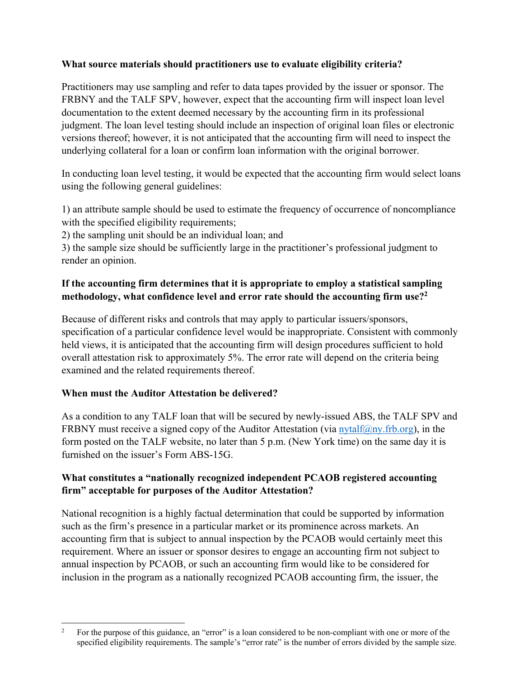#### **What source materials should practitioners use to evaluate eligibility criteria?**

Practitioners may use sampling and refer to data tapes provided by the issuer or sponsor. The FRBNY and the TALF SPV, however, expect that the accounting firm will inspect loan level documentation to the extent deemed necessary by the accounting firm in its professional judgment. The loan level testing should include an inspection of original loan files or electronic versions thereof; however, it is not anticipated that the accounting firm will need to inspect the underlying collateral for a loan or confirm loan information with the original borrower.

In conducting loan level testing, it would be expected that the accounting firm would select loans using the following general guidelines:

1) an attribute sample should be used to estimate the frequency of occurrence of noncompliance with the specified eligibility requirements;

2) the sampling unit should be an individual loan; and

3) the sample size should be sufficiently large in the practitioner's professional judgment to render an opinion.

## **If the accounting firm determines that it is appropriate to employ a statistical sampling methodology, what confidence level and error rate should the accounting firm use?2**

Because of different risks and controls that may apply to particular issuers/sponsors, specification of a particular confidence level would be inappropriate. Consistent with commonly held views, it is anticipated that the accounting firm will design procedures sufficient to hold overall attestation risk to approximately 5%. The error rate will depend on the criteria being examined and the related requirements thereof.

## **When must the Auditor Attestation be delivered?**

As a condition to any TALF loan that will be secured by newly-issued ABS, the TALF SPV and FRBNY must receive a signed copy of the Auditor Attestation (via nytalf $(\omega_{\text{nv}},$  frb.org), in the form posted on the TALF website, no later than 5 p.m. (New York time) on the same day it is furnished on the issuer's Form ABS-15G.

#### **What constitutes a "nationally recognized independent PCAOB registered accounting firm" acceptable for purposes of the Auditor Attestation?**

National recognition is a highly factual determination that could be supported by information such as the firm's presence in a particular market or its prominence across markets. An accounting firm that is subject to annual inspection by the PCAOB would certainly meet this requirement. Where an issuer or sponsor desires to engage an accounting firm not subject to annual inspection by PCAOB, or such an accounting firm would like to be considered for inclusion in the program as a nationally recognized PCAOB accounting firm, the issuer, the

<sup>2</sup> For the purpose of this guidance, an "error" is a loan considered to be non-compliant with one or more of the specified eligibility requirements. The sample's "error rate" is the number of errors divided by the sample size.